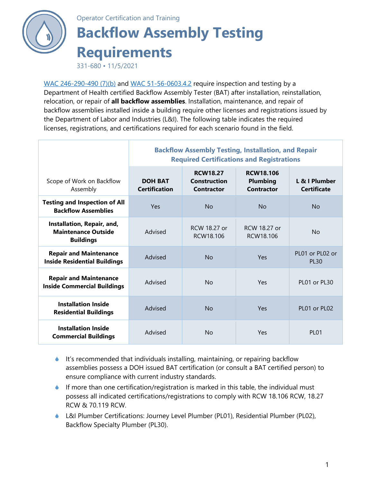

## Operator Certification and Training

## **Backflow Assembly Testing Requirements**

331-680 • 11/5/2021

[WAC 246-290-490 \(7\)\(b\)](https://apps.leg.wa.gov/WAC/default.aspx?cite=246-290-490) and [WAC 51-56-0603.4.2](https://apps.leg.wa.gov/wac/default.aspx?cite=51-56-0600) require inspection and testing by a Department of Health certified Backflow Assembly Tester (BAT) after installation, reinstallation, relocation, or repair of **all backflow assemblies**. Installation, maintenance, and repair of backflow assemblies installed inside a building require other licenses and registrations issued by the Department of Labor and Industries (L&I). The following table indicates the required licenses, registrations, and certifications required for each scenario found in the field.

|                                                                              | <b>Backflow Assembly Testing, Installation, and Repair</b><br><b>Required Certifications and Registrations</b> |                                                      |                                                          |                                     |
|------------------------------------------------------------------------------|----------------------------------------------------------------------------------------------------------------|------------------------------------------------------|----------------------------------------------------------|-------------------------------------|
| Scope of Work on Backflow<br>Assembly                                        | <b>DOH BAT</b><br><b>Certification</b>                                                                         | <b>RCW18.27</b><br><b>Construction</b><br>Contractor | <b>RCW18.106</b><br><b>Plumbing</b><br><b>Contractor</b> | L & I Plumber<br><b>Certificate</b> |
| <b>Testing and Inspection of All</b><br><b>Backflow Assemblies</b>           | Yes                                                                                                            | <b>No</b>                                            | <b>No</b>                                                | <b>No</b>                           |
| Installation, Repair, and,<br><b>Maintenance Outside</b><br><b>Buildings</b> | Advised                                                                                                        | RCW 18.27 or<br>RCW18.106                            | RCW 18.27 or<br>RCW18.106                                | Nο                                  |
| <b>Repair and Maintenance</b><br><b>Inside Residential Buildings</b>         | Advised                                                                                                        | No                                                   | Yes                                                      | PL01 or PL02 or<br><b>PL30</b>      |
| <b>Repair and Maintenance</b><br><b>Inside Commercial Buildings</b>          | Advised                                                                                                        | No                                                   | Yes                                                      | PL01 or PL30                        |
| <b>Installation Inside</b><br><b>Residential Buildings</b>                   | Advised                                                                                                        | N <sub>o</sub>                                       | Yes                                                      | PL01 or PL02                        |
| <b>Installation Inside</b><br><b>Commercial Buildings</b>                    | Advised                                                                                                        | Nο                                                   | Yes                                                      | PI 01                               |

- $\bullet$  It's recommended that individuals installing, maintaining, or repairing backflow assemblies possess a DOH issued BAT certification (or consult a BAT certified person) to ensure compliance with current industry standards.
- If more than one certification/registration is marked in this table, the individual must possess all indicated certifications/registrations to comply with RCW [18.106 RCW,](https://apps.leg.wa.gov/RCW/default.aspx?cite=18.106) [18.27](https://apps.leg.wa.gov/RCW/default.aspx?cite=18.27)  [RCW](https://apps.leg.wa.gov/RCW/default.aspx?cite=18.27) & [70.119 RCW.](https://apps.leg.wa.gov/rcw/dispo.aspx?cite=70.119)
- L&I [Plumber Certifications:](https://lni.wa.gov/licensing-permits/plumbing/plumber-certification/#journey-level-and-medical-gas) Journey Level Plumber (PL01), Residential Plumber (PL02), Backflow Specialty Plumber (PL30).